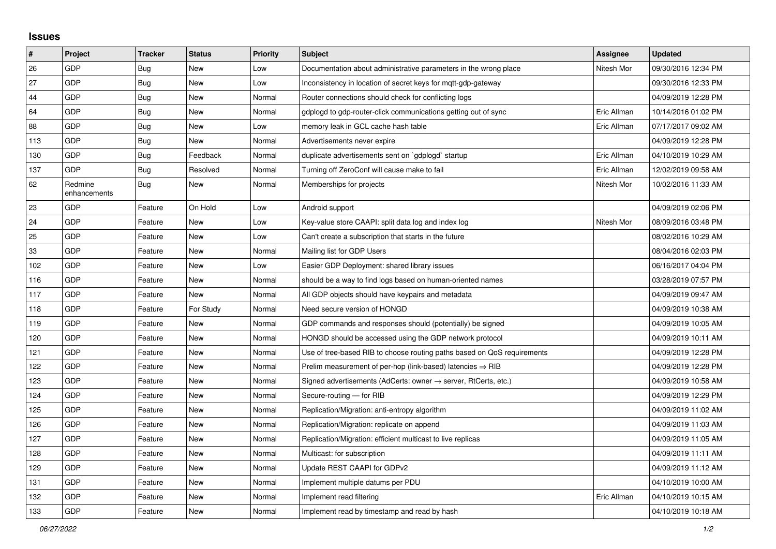## **Issues**

| #   | Project                 | <b>Tracker</b> | <b>Status</b> | <b>Priority</b> | <b>Subject</b>                                                          | <b>Assignee</b> | <b>Updated</b>      |
|-----|-------------------------|----------------|---------------|-----------------|-------------------------------------------------------------------------|-----------------|---------------------|
| 26  | GDP                     | <b>Bug</b>     | <b>New</b>    | Low             | Documentation about administrative parameters in the wrong place        | Nitesh Mor      | 09/30/2016 12:34 PM |
| 27  | GDP                     | <b>Bug</b>     | <b>New</b>    | Low             | Inconsistency in location of secret keys for mqtt-gdp-gateway           |                 | 09/30/2016 12:33 PM |
| 44  | GDP                     | Bug            | New           | Normal          | Router connections should check for conflicting logs                    |                 | 04/09/2019 12:28 PM |
| 64  | GDP                     | Bug            | <b>New</b>    | Normal          | gdplogd to gdp-router-click communications getting out of sync          | Eric Allman     | 10/14/2016 01:02 PM |
| 88  | GDP                     | <b>Bug</b>     | <b>New</b>    | Low             | memory leak in GCL cache hash table                                     | Eric Allman     | 07/17/2017 09:02 AM |
| 113 | GDP                     | <b>Bug</b>     | <b>New</b>    | Normal          | Advertisements never expire                                             |                 | 04/09/2019 12:28 PM |
| 130 | GDP                     | Bug            | Feedback      | Normal          | duplicate advertisements sent on `gdplogd` startup                      | Eric Allman     | 04/10/2019 10:29 AM |
| 137 | GDP                     | Bug            | Resolved      | Normal          | Turning off ZeroConf will cause make to fail                            | Eric Allman     | 12/02/2019 09:58 AM |
| 62  | Redmine<br>enhancements | Bug            | New           | Normal          | Memberships for projects                                                | Nitesh Mor      | 10/02/2016 11:33 AM |
| 23  | GDP                     | Feature        | On Hold       | Low             | Android support                                                         |                 | 04/09/2019 02:06 PM |
| 24  | GDP                     | Feature        | <b>New</b>    | Low             | Key-value store CAAPI: split data log and index log                     | Nitesh Mor      | 08/09/2016 03:48 PM |
| 25  | GDP                     | Feature        | <b>New</b>    | Low             | Can't create a subscription that starts in the future                   |                 | 08/02/2016 10:29 AM |
| 33  | GDP                     | Feature        | <b>New</b>    | Normal          | Mailing list for GDP Users                                              |                 | 08/04/2016 02:03 PM |
| 102 | GDP                     | Feature        | New           | Low             | Easier GDP Deployment: shared library issues                            |                 | 06/16/2017 04:04 PM |
| 116 | GDP                     | Feature        | New           | Normal          | should be a way to find logs based on human-oriented names              |                 | 03/28/2019 07:57 PM |
| 117 | GDP                     | Feature        | <b>New</b>    | Normal          | All GDP objects should have keypairs and metadata                       |                 | 04/09/2019 09:47 AM |
| 118 | GDP                     | Feature        | For Study     | Normal          | Need secure version of HONGD                                            |                 | 04/09/2019 10:38 AM |
| 119 | GDP                     | Feature        | <b>New</b>    | Normal          | GDP commands and responses should (potentially) be signed               |                 | 04/09/2019 10:05 AM |
| 120 | GDP                     | Feature        | New           | Normal          | HONGD should be accessed using the GDP network protocol                 |                 | 04/09/2019 10:11 AM |
| 121 | GDP                     | Feature        | <b>New</b>    | Normal          | Use of tree-based RIB to choose routing paths based on QoS requirements |                 | 04/09/2019 12:28 PM |
| 122 | GDP                     | Feature        | <b>New</b>    | Normal          | Prelim measurement of per-hop (link-based) latencies $\Rightarrow$ RIB  |                 | 04/09/2019 12:28 PM |
| 123 | GDP                     | Feature        | <b>New</b>    | Normal          | Signed advertisements (AdCerts: owner → server, RtCerts, etc.)          |                 | 04/09/2019 10:58 AM |
| 124 | GDP                     | Feature        | <b>New</b>    | Normal          | Secure-routing - for RIB                                                |                 | 04/09/2019 12:29 PM |
| 125 | GDP                     | Feature        | <b>New</b>    | Normal          | Replication/Migration: anti-entropy algorithm                           |                 | 04/09/2019 11:02 AM |
| 126 | GDP                     | Feature        | <b>New</b>    | Normal          | Replication/Migration: replicate on append                              |                 | 04/09/2019 11:03 AM |
| 127 | GDP                     | Feature        | New           | Normal          | Replication/Migration: efficient multicast to live replicas             |                 | 04/09/2019 11:05 AM |
| 128 | GDP                     | Feature        | <b>New</b>    | Normal          | Multicast: for subscription                                             |                 | 04/09/2019 11:11 AM |
| 129 | GDP                     | Feature        | <b>New</b>    | Normal          | Update REST CAAPI for GDPv2                                             |                 | 04/09/2019 11:12 AM |
| 131 | GDP                     | Feature        | New           | Normal          | Implement multiple datums per PDU                                       |                 | 04/10/2019 10:00 AM |
| 132 | GDP                     | Feature        | New           | Normal          | Implement read filtering                                                | Eric Allman     | 04/10/2019 10:15 AM |
| 133 | GDP                     | Feature        | New           | Normal          | Implement read by timestamp and read by hash                            |                 | 04/10/2019 10:18 AM |